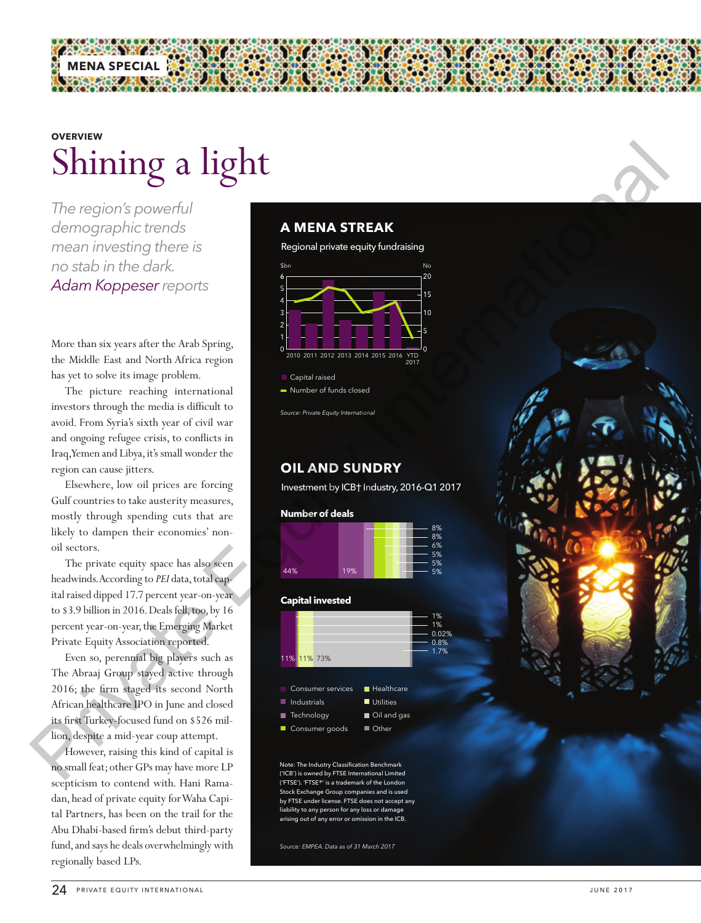# Shining a light **OVERVIEW**

*The region's powerful demographic trends mean investing there is no stab in the dark. Adam Koppeser reports*

**MENA SPECIAL**

More than six years after the Arab Spring, the Middle East and North Africa region has yet to solve its image problem.

The picture reaching international investors through the media is difficult to avoid. From Syria's sixth year of civil war and ongoing refugee crisis, to conflicts in Iraq, Yemen and Libya, it's small wonder the region can cause jitters.

Elsewhere, low oil prices are forcing Gulf countries to take austerity measures, mostly through spending cuts that are likely to dampen their economies' nonoil sectors.

The private equity space has also seen headwinds. According to *PEI* data, total capital raised dipped 17.7 percent year-on-year to \$3.9 billion in 2016. Deals fell, too, by 16 percent year-on-year, the Emerging Market Private Equity Association reported.

Even so, perennial big players such as The Abraaj Group stayed active through 2016; the firm staged its second North African healthcare IPO in June and closed its first Turkey-focused fund on \$526 million, despite a mid-year coup attempt.

However, raising this kind of capital is no small feat; other GPs may have more LP scepticism to contend with. Hani Ramadan, head of private equity for Waha Capital Partners, has been on the trail for the Abu Dhabi-based firm's debut third-party fund, and says he deals overwhelmingly with regionally based LPs.

## **A MENA STREAK**

Regional private equity fundraising



**Capital raised** • Number of funds closed

*Source: Private Equity International*

## **OIL AND SUNDRY**

Investment by ICB† Industry, 2016-Q1 2017



#### **Capital invested**

| .           |                           |                   |                                   |
|-------------|---------------------------|-------------------|-----------------------------------|
| 11% 11% 73% |                           |                   | 1%<br>1%<br>0.02%<br>0.8%<br>1.7% |
|             | $\blacksquare$ Healthcare |                   |                                   |
| Industrials | Utilities                 |                   |                                   |
| Technology  | Oil and gas               |                   |                                   |
|             |                           | Consumer services |                                   |

Consumer goods



Note: The Industry Classification Benchmark ('ICB') is owned by FTSE International Limited ('FTSE'). 'FTSE®' is a trademark of the London ck Exchange Group companies and is used by FTSE under license. FTSE does not accept any .<br>ility to any person for any loss or damage arism out of any error or omission in the ICB.

*Source: EMPEA. Data as of 31 March 2017* 

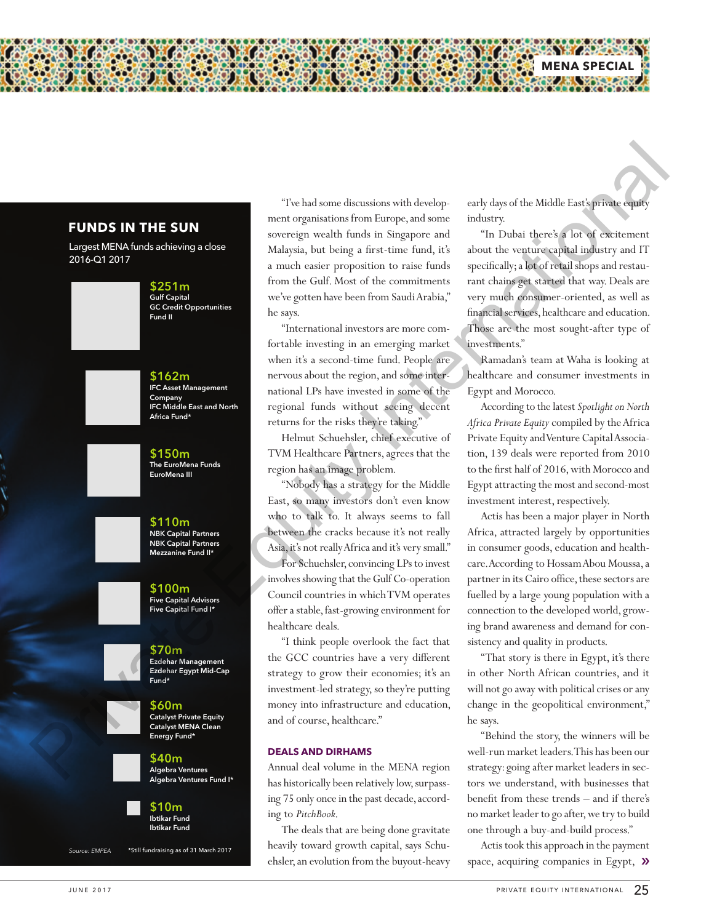## **FUNDS IN THE SUN**

Largest MENA funds achieving a close 2016-Q1 2017





\$162m IFC Asset Management Company IFC Middle East and North Africa Fund\*





\$100m Five Capital Advisors Five Capital Fund I\*



\$70m Ezdehar Management Ezdehar Egypt Mid-Cap Fund\*



Energy Fund\* \$40m Algebra Ventures Algebra Ventures Fund I\*

\$60m Catalyst Private Equity Catalyst MENA Clean



*Source: EMPEA* \*Still fundraising as of 31 March 2017

"I've had some discussions with development organisations from Europe, and some sovereign wealth funds in Singapore and Malaysia, but being a first-time fund, it's a much easier proposition to raise funds from the Gulf. Most of the commitments we've gotten have been from Saudi Arabia," he says.

"International investors are more comfortable investing in an emerging market when it's a second-time fund. People are nervous about the region, and some international LPs have invested in some of the regional funds without seeing decent returns for the risks they're taking."

Helmut Schuehsler, chief executive of TVM Healthcare Partners, agrees that the region has an image problem.

"Nobody has a strategy for the Middle East, so many investors don't even know who to talk to. It always seems to fall between the cracks because it's not really Asia, it's not really Africa and it's very small." For Schuehsler, convincing LPs to invest involves showing that the Gulf Co-operation Council countries in which TVM operates offer a stable, fast-growing environment for healthcare deals. **The halle mean the statistics with develope and develope and develope and develope and develope and develope and develope and develope and develope and develope and develope and develope and develope and develope and dev** 

"I think people overlook the fact that the GCC countries have a very different strategy to grow their economies; it's an investment-led strategy, so they're putting money into infrastructure and education, and of course, healthcare."

#### **DEALS AND DIRHAMS**

Annual deal volume in the MENA region has historically been relatively low, surpassing 75 only once in the past decade, according to *PitchBook*.

The deals that are being done gravitate heavily toward growth capital, says Schuehsler, an evolution from the buyout-heavy early days of the Middle East's private equity industry.

**MENA SPECIAL**

"In Dubai there's a lot of excitement about the venture capital industry and IT specifically; a lot of retail shops and restaurant chains get started that way. Deals are very much consumer-oriented, as well as financial services, healthcare and education. Those are the most sought-after type of investments."

Ramadan's team at Waha is looking at healthcare and consumer investments in Egypt and Morocco.

According to the latest *Spotlight on North Africa Private Equity* compiled by the Africa Private Equity and Venture Capital Association, 139 deals were reported from 2010 to the first half of 2016, with Morocco and Egypt attracting the most and second-most investment interest, respectively.

Actis has been a major player in North Africa, attracted largely by opportunities in consumer goods, education and healthcare. According to Hossam Abou Moussa, a partner in its Cairo office, these sectors are fuelled by a large young population with a connection to the developed world, growing brand awareness and demand for consistency and quality in products.

"That story is there in Egypt, it's there in other North African countries, and it will not go away with political crises or any change in the geopolitical environment," he says.

"Behind the story, the winners will be well-run market leaders. This has been our strategy: going after market leaders in sectors we understand, with businesses that benefit from these trends – and if there's no market leader to go after, we try to build one through a buy-and-build process."

Actis took this approach in the payment space, acquiring companies in Egypt,  $\mathcal{Y}$